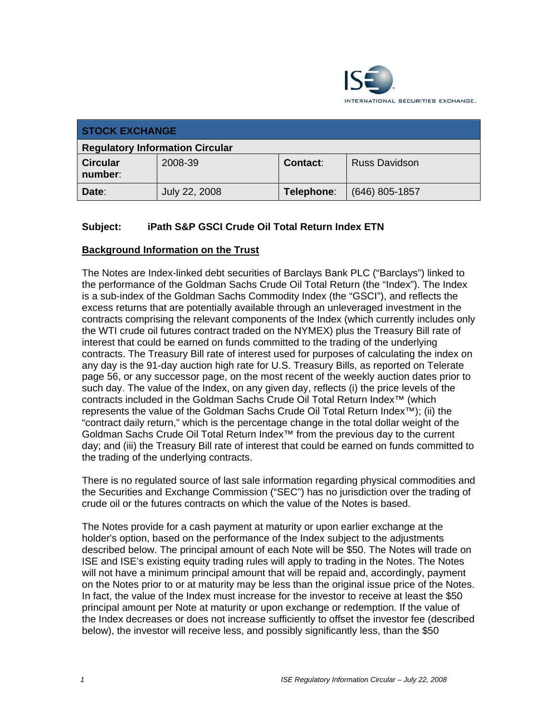

| <b>STOCK EXCHANGE</b>                  |               |                 |                      |
|----------------------------------------|---------------|-----------------|----------------------|
| <b>Regulatory Information Circular</b> |               |                 |                      |
| <b>Circular</b><br>number:             | 2008-39       | <b>Contact:</b> | <b>Russ Davidson</b> |
| Date:                                  | July 22, 2008 | Telephone:      | $(646)$ 805-1857     |

# **Subject: iPath S&P GSCI Crude Oil Total Return Index ETN**

# **Background Information on the Trust**

The Notes are Index-linked debt securities of Barclays Bank PLC ("Barclays") linked to the performance of the Goldman Sachs Crude Oil Total Return (the "Index"). The Index is a sub-index of the Goldman Sachs Commodity Index (the "GSCI"), and reflects the excess returns that are potentially available through an unleveraged investment in the contracts comprising the relevant components of the Index (which currently includes only the WTI crude oil futures contract traded on the NYMEX) plus the Treasury Bill rate of interest that could be earned on funds committed to the trading of the underlying contracts. The Treasury Bill rate of interest used for purposes of calculating the index on any day is the 91-day auction high rate for U.S. Treasury Bills, as reported on Telerate page 56, or any successor page, on the most recent of the weekly auction dates prior to such day. The value of the Index, on any given day, reflects (i) the price levels of the contracts included in the Goldman Sachs Crude Oil Total Return Index™ (which represents the value of the Goldman Sachs Crude Oil Total Return Index™); (ii) the "contract daily return," which is the percentage change in the total dollar weight of the Goldman Sachs Crude Oil Total Return Index™ from the previous day to the current day; and (iii) the Treasury Bill rate of interest that could be earned on funds committed to the trading of the underlying contracts.

There is no regulated source of last sale information regarding physical commodities and the Securities and Exchange Commission ("SEC") has no jurisdiction over the trading of crude oil or the futures contracts on which the value of the Notes is based.

The Notes provide for a cash payment at maturity or upon earlier exchange at the holder's option, based on the performance of the Index subject to the adjustments described below. The principal amount of each Note will be \$50. The Notes will trade on ISE and ISE's existing equity trading rules will apply to trading in the Notes. The Notes will not have a minimum principal amount that will be repaid and, accordingly, payment on the Notes prior to or at maturity may be less than the original issue price of the Notes. In fact, the value of the Index must increase for the investor to receive at least the \$50 principal amount per Note at maturity or upon exchange or redemption. If the value of the Index decreases or does not increase sufficiently to offset the investor fee (described below), the investor will receive less, and possibly significantly less, than the \$50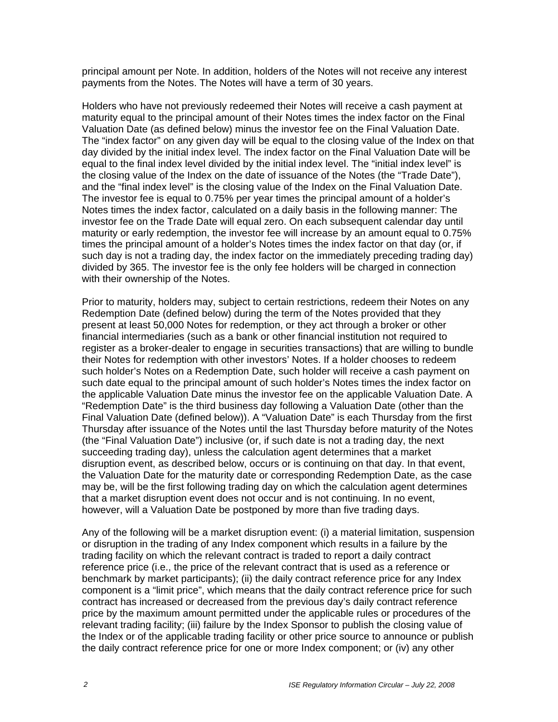principal amount per Note. In addition, holders of the Notes will not receive any interest payments from the Notes. The Notes will have a term of 30 years.

Holders who have not previously redeemed their Notes will receive a cash payment at maturity equal to the principal amount of their Notes times the index factor on the Final Valuation Date (as defined below) minus the investor fee on the Final Valuation Date. The "index factor" on any given day will be equal to the closing value of the Index on that day divided by the initial index level. The index factor on the Final Valuation Date will be equal to the final index level divided by the initial index level. The "initial index level" is the closing value of the Index on the date of issuance of the Notes (the "Trade Date"), and the "final index level" is the closing value of the Index on the Final Valuation Date. The investor fee is equal to 0.75% per year times the principal amount of a holder's Notes times the index factor, calculated on a daily basis in the following manner: The investor fee on the Trade Date will equal zero. On each subsequent calendar day until maturity or early redemption, the investor fee will increase by an amount equal to 0.75% times the principal amount of a holder's Notes times the index factor on that day (or, if such day is not a trading day, the index factor on the immediately preceding trading day) divided by 365. The investor fee is the only fee holders will be charged in connection with their ownership of the Notes.

Prior to maturity, holders may, subject to certain restrictions, redeem their Notes on any Redemption Date (defined below) during the term of the Notes provided that they present at least 50,000 Notes for redemption, or they act through a broker or other financial intermediaries (such as a bank or other financial institution not required to register as a broker-dealer to engage in securities transactions) that are willing to bundle their Notes for redemption with other investors' Notes. If a holder chooses to redeem such holder's Notes on a Redemption Date, such holder will receive a cash payment on such date equal to the principal amount of such holder's Notes times the index factor on the applicable Valuation Date minus the investor fee on the applicable Valuation Date. A "Redemption Date" is the third business day following a Valuation Date (other than the Final Valuation Date (defined below)). A "Valuation Date" is each Thursday from the first Thursday after issuance of the Notes until the last Thursday before maturity of the Notes (the "Final Valuation Date") inclusive (or, if such date is not a trading day, the next succeeding trading day), unless the calculation agent determines that a market disruption event, as described below, occurs or is continuing on that day. In that event, the Valuation Date for the maturity date or corresponding Redemption Date, as the case may be, will be the first following trading day on which the calculation agent determines that a market disruption event does not occur and is not continuing. In no event, however, will a Valuation Date be postponed by more than five trading days.

Any of the following will be a market disruption event: (i) a material limitation, suspension or disruption in the trading of any Index component which results in a failure by the trading facility on which the relevant contract is traded to report a daily contract reference price (i.e., the price of the relevant contract that is used as a reference or benchmark by market participants); (ii) the daily contract reference price for any Index component is a "limit price", which means that the daily contract reference price for such contract has increased or decreased from the previous day's daily contract reference price by the maximum amount permitted under the applicable rules or procedures of the relevant trading facility; (iii) failure by the Index Sponsor to publish the closing value of the Index or of the applicable trading facility or other price source to announce or publish the daily contract reference price for one or more Index component; or (iv) any other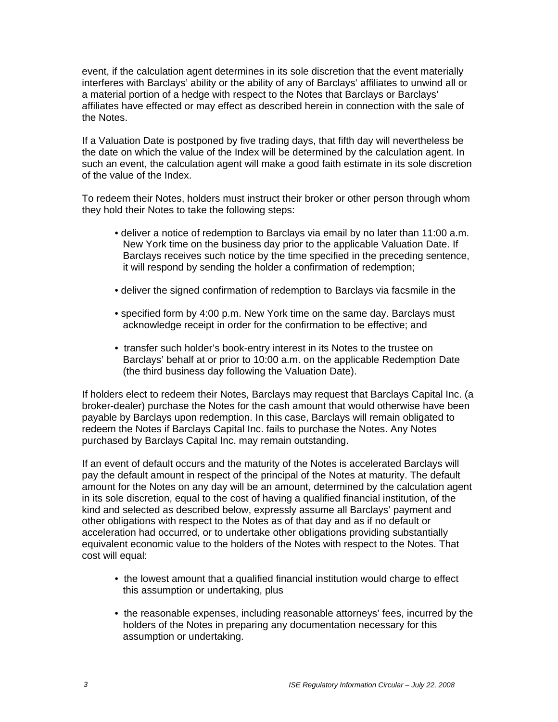event, if the calculation agent determines in its sole discretion that the event materially interferes with Barclays' ability or the ability of any of Barclays' affiliates to unwind all or a material portion of a hedge with respect to the Notes that Barclays or Barclays' affiliates have effected or may effect as described herein in connection with the sale of the Notes.

If a Valuation Date is postponed by five trading days, that fifth day will nevertheless be the date on which the value of the Index will be determined by the calculation agent. In such an event, the calculation agent will make a good faith estimate in its sole discretion of the value of the Index.

To redeem their Notes, holders must instruct their broker or other person through whom they hold their Notes to take the following steps:

- deliver a notice of redemption to Barclays via email by no later than 11:00 a.m. New York time on the business day prior to the applicable Valuation Date. If Barclays receives such notice by the time specified in the preceding sentence, it will respond by sending the holder a confirmation of redemption;
- deliver the signed confirmation of redemption to Barclays via facsmile in the
- specified form by 4:00 p.m. New York time on the same day. Barclays must acknowledge receipt in order for the confirmation to be effective; and
- transfer such holder's book-entry interest in its Notes to the trustee on Barclays' behalf at or prior to 10:00 a.m. on the applicable Redemption Date (the third business day following the Valuation Date).

If holders elect to redeem their Notes, Barclays may request that Barclays Capital Inc. (a broker-dealer) purchase the Notes for the cash amount that would otherwise have been payable by Barclays upon redemption. In this case, Barclays will remain obligated to redeem the Notes if Barclays Capital Inc. fails to purchase the Notes. Any Notes purchased by Barclays Capital Inc. may remain outstanding.

If an event of default occurs and the maturity of the Notes is accelerated Barclays will pay the default amount in respect of the principal of the Notes at maturity. The default amount for the Notes on any day will be an amount, determined by the calculation agent in its sole discretion, equal to the cost of having a qualified financial institution, of the kind and selected as described below, expressly assume all Barclays' payment and other obligations with respect to the Notes as of that day and as if no default or acceleration had occurred, or to undertake other obligations providing substantially equivalent economic value to the holders of the Notes with respect to the Notes. That cost will equal:

- the lowest amount that a qualified financial institution would charge to effect this assumption or undertaking, plus
- the reasonable expenses, including reasonable attorneys' fees, incurred by the holders of the Notes in preparing any documentation necessary for this assumption or undertaking.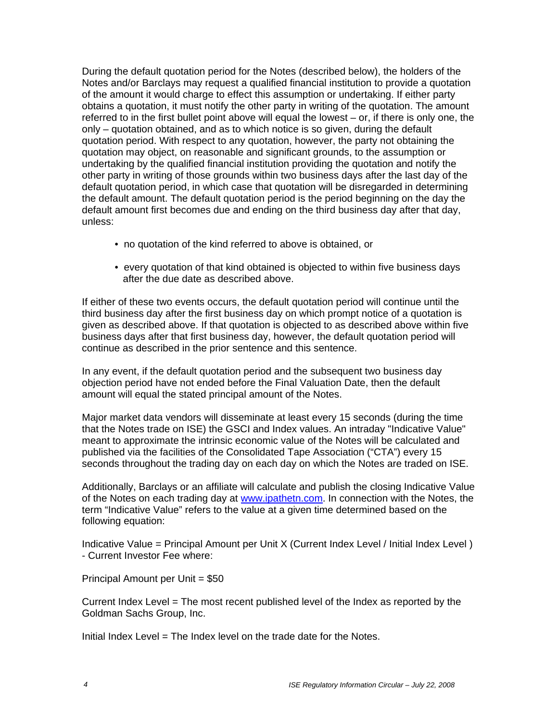During the default quotation period for the Notes (described below), the holders of the Notes and/or Barclays may request a qualified financial institution to provide a quotation of the amount it would charge to effect this assumption or undertaking. If either party obtains a quotation, it must notify the other party in writing of the quotation. The amount referred to in the first bullet point above will equal the lowest – or, if there is only one, the only – quotation obtained, and as to which notice is so given, during the default quotation period. With respect to any quotation, however, the party not obtaining the quotation may object, on reasonable and significant grounds, to the assumption or undertaking by the qualified financial institution providing the quotation and notify the other party in writing of those grounds within two business days after the last day of the default quotation period, in which case that quotation will be disregarded in determining the default amount. The default quotation period is the period beginning on the day the default amount first becomes due and ending on the third business day after that day, unless:

- no quotation of the kind referred to above is obtained, or
- every quotation of that kind obtained is objected to within five business days after the due date as described above.

If either of these two events occurs, the default quotation period will continue until the third business day after the first business day on which prompt notice of a quotation is given as described above. If that quotation is objected to as described above within five business days after that first business day, however, the default quotation period will continue as described in the prior sentence and this sentence.

In any event, if the default quotation period and the subsequent two business day objection period have not ended before the Final Valuation Date, then the default amount will equal the stated principal amount of the Notes.

Major market data vendors will disseminate at least every 15 seconds (during the time that the Notes trade on ISE) the GSCI and Index values. An intraday "Indicative Value" meant to approximate the intrinsic economic value of the Notes will be calculated and published via the facilities of the Consolidated Tape Association ("CTA") every 15 seconds throughout the trading day on each day on which the Notes are traded on ISE.

Additionally, Barclays or an affiliate will calculate and publish the closing Indicative Value of the Notes on each trading day at www.ipathetn.com. In connection with the Notes, the term "Indicative Value" refers to the value at a given time determined based on the following equation:

Indicative Value = Principal Amount per Unit X (Current Index Level / Initial Index Level ) - Current Investor Fee where:

Principal Amount per Unit = \$50

Current Index Level = The most recent published level of the Index as reported by the Goldman Sachs Group, Inc.

Initial Index Level = The Index level on the trade date for the Notes.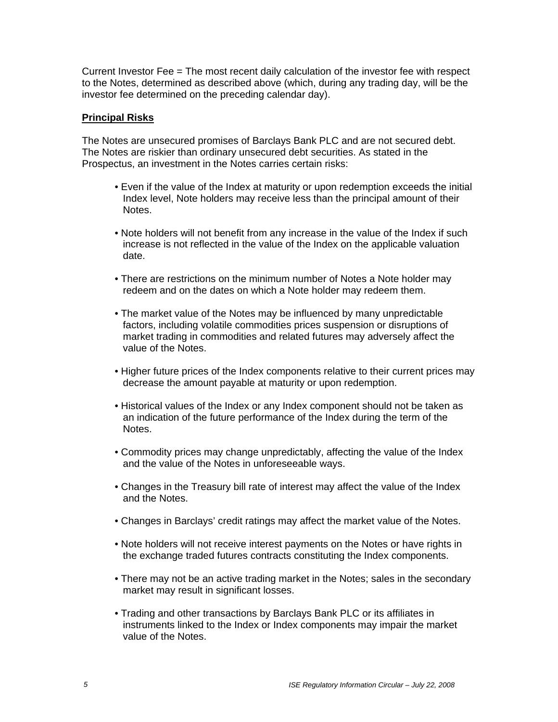Current Investor Fee = The most recent daily calculation of the investor fee with respect to the Notes, determined as described above (which, during any trading day, will be the investor fee determined on the preceding calendar day).

### **Principal Risks**

The Notes are unsecured promises of Barclays Bank PLC and are not secured debt. The Notes are riskier than ordinary unsecured debt securities. As stated in the Prospectus, an investment in the Notes carries certain risks:

- Even if the value of the Index at maturity or upon redemption exceeds the initial Index level, Note holders may receive less than the principal amount of their Notes.
- Note holders will not benefit from any increase in the value of the Index if such increase is not reflected in the value of the Index on the applicable valuation date.
- There are restrictions on the minimum number of Notes a Note holder may redeem and on the dates on which a Note holder may redeem them.
- The market value of the Notes may be influenced by many unpredictable factors, including volatile commodities prices suspension or disruptions of market trading in commodities and related futures may adversely affect the value of the Notes.
- Higher future prices of the Index components relative to their current prices may decrease the amount payable at maturity or upon redemption.
- Historical values of the Index or any Index component should not be taken as an indication of the future performance of the Index during the term of the Notes.
- Commodity prices may change unpredictably, affecting the value of the Index and the value of the Notes in unforeseeable ways.
- Changes in the Treasury bill rate of interest may affect the value of the Index and the Notes.
- Changes in Barclays' credit ratings may affect the market value of the Notes.
- Note holders will not receive interest payments on the Notes or have rights in the exchange traded futures contracts constituting the Index components.
- There may not be an active trading market in the Notes; sales in the secondary market may result in significant losses.
- Trading and other transactions by Barclays Bank PLC or its affiliates in instruments linked to the Index or Index components may impair the market value of the Notes.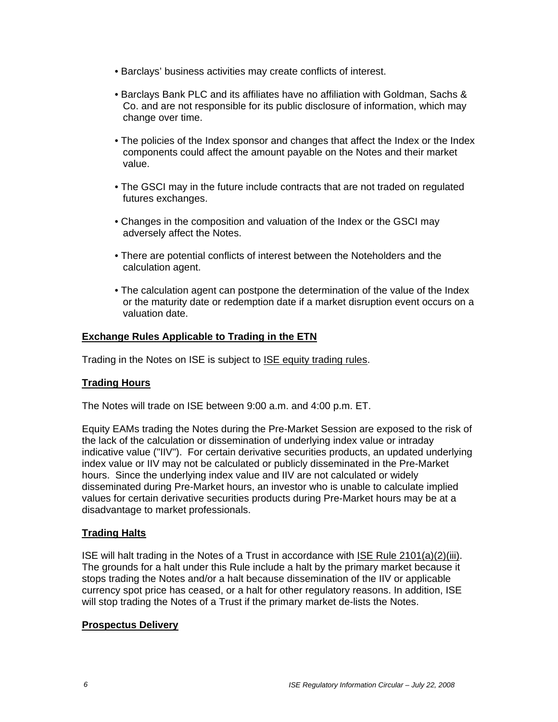- Barclays' business activities may create conflicts of interest.
- Barclays Bank PLC and its affiliates have no affiliation with Goldman, Sachs & Co. and are not responsible for its public disclosure of information, which may change over time.
- The policies of the Index sponsor and changes that affect the Index or the Index components could affect the amount payable on the Notes and their market value.
- The GSCI may in the future include contracts that are not traded on regulated futures exchanges.
- Changes in the composition and valuation of the Index or the GSCI may adversely affect the Notes.
- There are potential conflicts of interest between the Noteholders and the calculation agent.
- The calculation agent can postpone the determination of the value of the Index or the maturity date or redemption date if a market disruption event occurs on a valuation date.

# **Exchange Rules Applicable to Trading in the ETN**

Trading in the Notes on ISE is subject to **ISE equity trading rules**.

# **Trading Hours**

The Notes will trade on ISE between 9:00 a.m. and 4:00 p.m. ET.

Equity EAMs trading the Notes during the Pre-Market Session are exposed to the risk of the lack of the calculation or dissemination of underlying index value or intraday indicative value ("IIV"). For certain derivative securities products, an updated underlying index value or IIV may not be calculated or publicly disseminated in the Pre-Market hours. Since the underlying index value and IIV are not calculated or widely disseminated during Pre-Market hours, an investor who is unable to calculate implied values for certain derivative securities products during Pre-Market hours may be at a disadvantage to market professionals.

# **Trading Halts**

ISE will halt trading in the Notes of a Trust in accordance with ISE Rule 2101(a)(2)(iii). The grounds for a halt under this Rule include a halt by the primary market because it stops trading the Notes and/or a halt because dissemination of the IIV or applicable currency spot price has ceased, or a halt for other regulatory reasons. In addition, ISE will stop trading the Notes of a Trust if the primary market de-lists the Notes.

#### **Prospectus Delivery**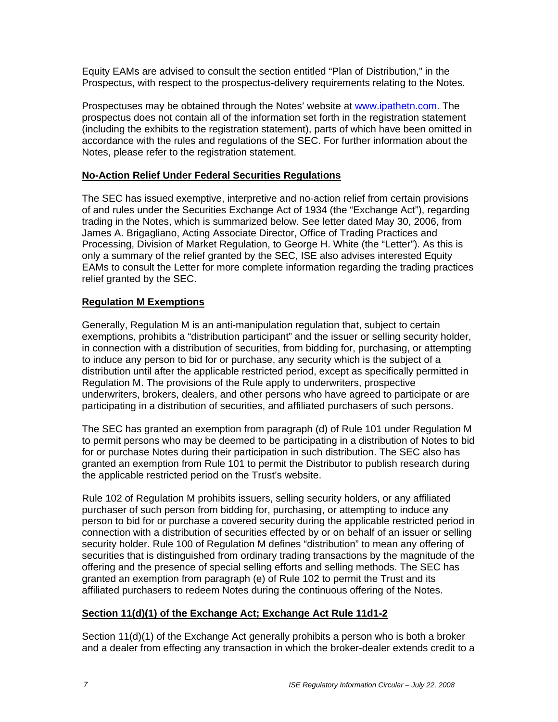Equity EAMs are advised to consult the section entitled "Plan of Distribution," in the Prospectus, with respect to the prospectus-delivery requirements relating to the Notes.

Prospectuses may be obtained through the Notes' website at www.ipathetn.com. The prospectus does not contain all of the information set forth in the registration statement (including the exhibits to the registration statement), parts of which have been omitted in accordance with the rules and regulations of the SEC. For further information about the Notes, please refer to the registration statement.

# **No-Action Relief Under Federal Securities Regulations**

The SEC has issued exemptive, interpretive and no-action relief from certain provisions of and rules under the Securities Exchange Act of 1934 (the "Exchange Act"), regarding trading in the Notes, which is summarized below. See letter dated May 30, 2006, from James A. Brigagliano, Acting Associate Director, Office of Trading Practices and Processing, Division of Market Regulation, to George H. White (the "Letter"). As this is only a summary of the relief granted by the SEC, ISE also advises interested Equity EAMs to consult the Letter for more complete information regarding the trading practices relief granted by the SEC.

# **Regulation M Exemptions**

Generally, Regulation M is an anti-manipulation regulation that, subject to certain exemptions, prohibits a "distribution participant" and the issuer or selling security holder, in connection with a distribution of securities, from bidding for, purchasing, or attempting to induce any person to bid for or purchase, any security which is the subject of a distribution until after the applicable restricted period, except as specifically permitted in Regulation M. The provisions of the Rule apply to underwriters, prospective underwriters, brokers, dealers, and other persons who have agreed to participate or are participating in a distribution of securities, and affiliated purchasers of such persons.

The SEC has granted an exemption from paragraph (d) of Rule 101 under Regulation M to permit persons who may be deemed to be participating in a distribution of Notes to bid for or purchase Notes during their participation in such distribution. The SEC also has granted an exemption from Rule 101 to permit the Distributor to publish research during the applicable restricted period on the Trust's website.

Rule 102 of Regulation M prohibits issuers, selling security holders, or any affiliated purchaser of such person from bidding for, purchasing, or attempting to induce any person to bid for or purchase a covered security during the applicable restricted period in connection with a distribution of securities effected by or on behalf of an issuer or selling security holder. Rule 100 of Regulation M defines "distribution" to mean any offering of securities that is distinguished from ordinary trading transactions by the magnitude of the offering and the presence of special selling efforts and selling methods. The SEC has granted an exemption from paragraph (e) of Rule 102 to permit the Trust and its affiliated purchasers to redeem Notes during the continuous offering of the Notes.

# **Section 11(d)(1) of the Exchange Act; Exchange Act Rule 11d1-2**

Section 11(d)(1) of the Exchange Act generally prohibits a person who is both a broker and a dealer from effecting any transaction in which the broker-dealer extends credit to a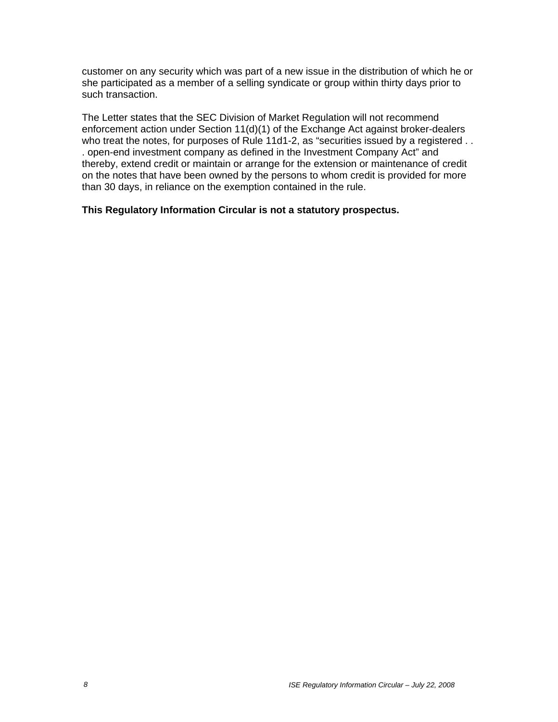customer on any security which was part of a new issue in the distribution of which he or she participated as a member of a selling syndicate or group within thirty days prior to such transaction.

The Letter states that the SEC Division of Market Regulation will not recommend enforcement action under Section 11(d)(1) of the Exchange Act against broker-dealers who treat the notes, for purposes of Rule 11d1-2, as "securities issued by a registered . . . open-end investment company as defined in the Investment Company Act" and thereby, extend credit or maintain or arrange for the extension or maintenance of credit on the notes that have been owned by the persons to whom credit is provided for more than 30 days, in reliance on the exemption contained in the rule.

### **This Regulatory Information Circular is not a statutory prospectus.**